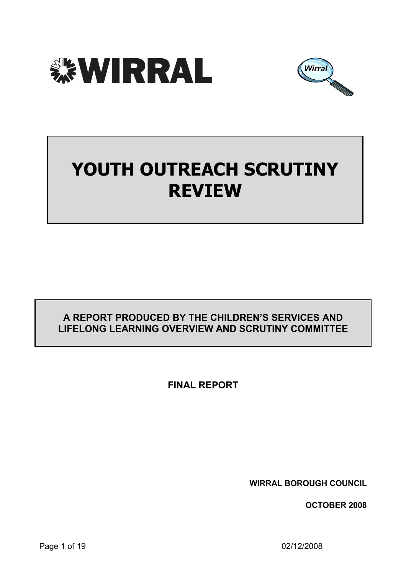



# YOUTH OUTREACH SCRUTINY REVIEW

# A REPORT PRODUCED BY THE CHILDREN'S SERVICES AND LIFELONG LEARNING OVERVIEW AND SCRUTINY COMMITTEE

FINAL REPORT

WIRRAL BOROUGH COUNCIL

OCTOBER 2008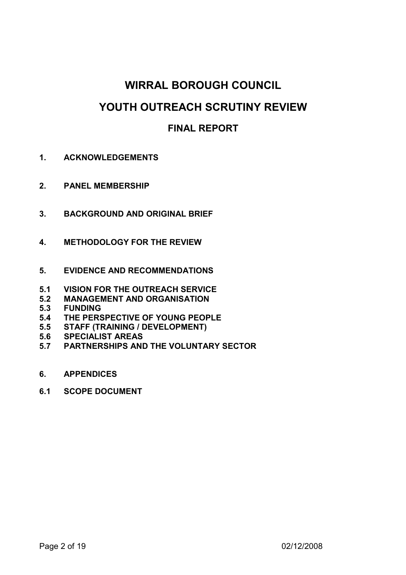# WIRRAL BOROUGH COUNCIL

# YOUTH OUTREACH SCRUTINY REVIEW

# FINAL REPORT

- 1. ACKNOWLEDGEMENTS
- 2. PANEL MEMBERSHIP
- 3. BACKGROUND AND ORIGINAL BRIEF
- 4. METHODOLOGY FOR THE REVIEW
- 5. EVIDENCE AND RECOMMENDATIONS
- 5.1 VISION FOR THE OUTREACH SERVICE<br>5.2 MANAGEMENT AND ORGANISATION
- **MANAGEMENT AND ORGANISATION**
- 5.3 FUNDING<br>5.4 THE PERS
- THE PERSPECTIVE OF YOUNG PEOPLE
- 5.5 STAFF (TRAINING / DEVELOPMENT)
- 5.6 SPECIALIST AREAS
- 5.7 PARTNERSHIPS AND THE VOLUNTARY SECTOR
- 6. APPENDICES
- 6.1 SCOPE DOCUMENT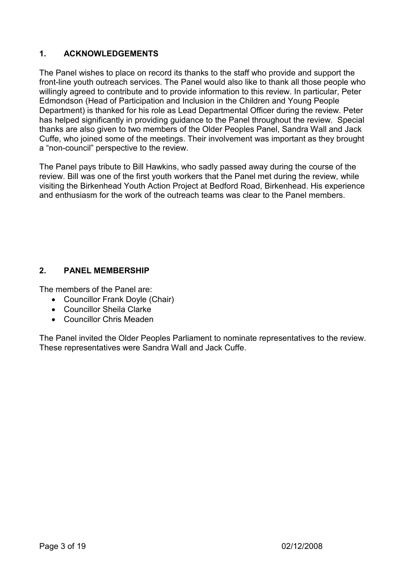# 1. ACKNOWLEDGEMENTS

The Panel wishes to place on record its thanks to the staff who provide and support the front-line youth outreach services. The Panel would also like to thank all those people who willingly agreed to contribute and to provide information to this review. In particular, Peter Edmondson (Head of Participation and Inclusion in the Children and Young People Department) is thanked for his role as Lead Departmental Officer during the review. Peter has helped significantly in providing guidance to the Panel throughout the review. Special thanks are also given to two members of the Older Peoples Panel, Sandra Wall and Jack Cuffe, who joined some of the meetings. Their involvement was important as they brought a "non-council" perspective to the review.

The Panel pays tribute to Bill Hawkins, who sadly passed away during the course of the review. Bill was one of the first youth workers that the Panel met during the review, while visiting the Birkenhead Youth Action Project at Bedford Road, Birkenhead. His experience and enthusiasm for the work of the outreach teams was clear to the Panel members.

# 2. PANEL MEMBERSHIP

The members of the Panel are:

- Councillor Frank Doyle (Chair)
- Councillor Sheila Clarke
- Councillor Chris Meaden

The Panel invited the Older Peoples Parliament to nominate representatives to the review. These representatives were Sandra Wall and Jack Cuffe.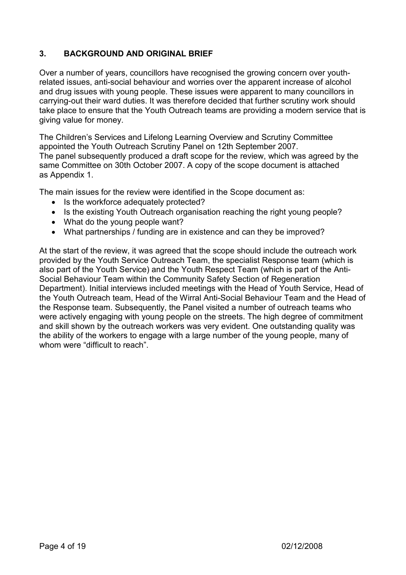# 3. BACKGROUND AND ORIGINAL BRIEF

Over a number of years, councillors have recognised the growing concern over youthrelated issues, anti-social behaviour and worries over the apparent increase of alcohol and drug issues with young people. These issues were apparent to many councillors in carrying-out their ward duties. It was therefore decided that further scrutiny work should take place to ensure that the Youth Outreach teams are providing a modern service that is giving value for money.

The Children's Services and Lifelong Learning Overview and Scrutiny Committee appointed the Youth Outreach Scrutiny Panel on 12th September 2007. The panel subsequently produced a draft scope for the review, which was agreed by the same Committee on 30th October 2007. A copy of the scope document is attached as Appendix 1.

The main issues for the review were identified in the Scope document as:

- Is the workforce adequately protected?
- Is the existing Youth Outreach organisation reaching the right young people?
- What do the young people want?
- What partnerships / funding are in existence and can they be improved?

At the start of the review, it was agreed that the scope should include the outreach work provided by the Youth Service Outreach Team, the specialist Response team (which is also part of the Youth Service) and the Youth Respect Team (which is part of the Anti-Social Behaviour Team within the Community Safety Section of Regeneration Department). Initial interviews included meetings with the Head of Youth Service, Head of the Youth Outreach team, Head of the Wirral Anti-Social Behaviour Team and the Head of the Response team. Subsequently, the Panel visited a number of outreach teams who were actively engaging with young people on the streets. The high degree of commitment and skill shown by the outreach workers was very evident. One outstanding quality was the ability of the workers to engage with a large number of the young people, many of whom were "difficult to reach".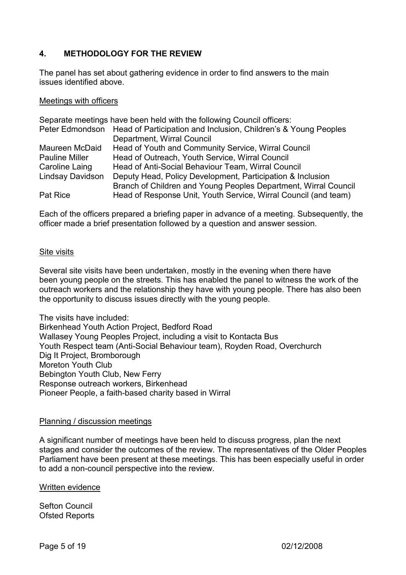# 4. METHODOLOGY FOR THE REVIEW

The panel has set about gathering evidence in order to find answers to the main issues identified above.

#### Meetings with officers

|                         | Separate meetings have been held with the following Council officers:           |
|-------------------------|---------------------------------------------------------------------------------|
|                         | Peter Edmondson Head of Participation and Inclusion, Children's & Young Peoples |
|                         | Department, Wirral Council                                                      |
| Maureen McDaid          | Head of Youth and Community Service, Wirral Council                             |
| <b>Pauline Miller</b>   | Head of Outreach, Youth Service, Wirral Council                                 |
| Caroline Laing          | Head of Anti-Social Behaviour Team, Wirral Council                              |
| <b>Lindsay Davidson</b> | Deputy Head, Policy Development, Participation & Inclusion                      |
|                         | Branch of Children and Young Peoples Department, Wirral Council                 |
| Pat Rice                | Head of Response Unit, Youth Service, Wirral Council (and team)                 |

Each of the officers prepared a briefing paper in advance of a meeting. Subsequently, the officer made a brief presentation followed by a question and answer session.

#### Site visits

Several site visits have been undertaken, mostly in the evening when there have been young people on the streets. This has enabled the panel to witness the work of the outreach workers and the relationship they have with young people. There has also been the opportunity to discuss issues directly with the young people.

The visits have included: Birkenhead Youth Action Project, Bedford Road Wallasey Young Peoples Project, including a visit to Kontacta Bus Youth Respect team (Anti-Social Behaviour team), Royden Road, Overchurch Dig It Project, Bromborough Moreton Youth Club Bebington Youth Club, New Ferry Response outreach workers, Birkenhead Pioneer People, a faith-based charity based in Wirral

#### Planning / discussion meetings

A significant number of meetings have been held to discuss progress, plan the next stages and consider the outcomes of the review. The representatives of the Older Peoples Parliament have been present at these meetings. This has been especially useful in order to add a non-council perspective into the review.

Written evidence

Sefton Council Ofsted Reports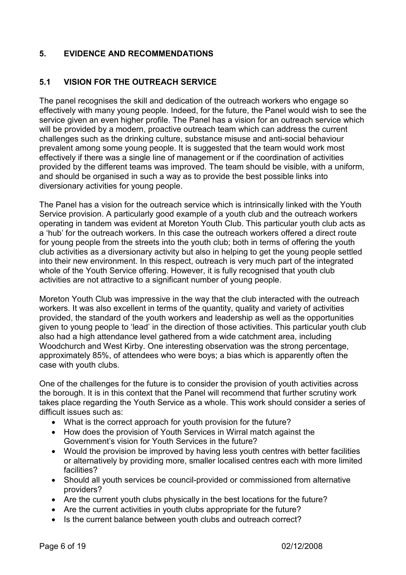# 5. EVIDENCE AND RECOMMENDATIONS

# 5.1 VISION FOR THE OUTREACH SERVICE

The panel recognises the skill and dedication of the outreach workers who engage so effectively with many young people. Indeed, for the future, the Panel would wish to see the service given an even higher profile. The Panel has a vision for an outreach service which will be provided by a modern, proactive outreach team which can address the current challenges such as the drinking culture, substance misuse and anti-social behaviour prevalent among some young people. It is suggested that the team would work most effectively if there was a single line of management or if the coordination of activities provided by the different teams was improved. The team should be visible, with a uniform, and should be organised in such a way as to provide the best possible links into diversionary activities for young people.

The Panel has a vision for the outreach service which is intrinsically linked with the Youth Service provision. A particularly good example of a youth club and the outreach workers operating in tandem was evident at Moreton Youth Club. This particular youth club acts as a 'hub' for the outreach workers. In this case the outreach workers offered a direct route for young people from the streets into the youth club; both in terms of offering the youth club activities as a diversionary activity but also in helping to get the young people settled into their new environment. In this respect, outreach is very much part of the integrated whole of the Youth Service offering. However, it is fully recognised that youth club activities are not attractive to a significant number of young people.

Moreton Youth Club was impressive in the way that the club interacted with the outreach workers. It was also excellent in terms of the quantity, quality and variety of activities provided, the standard of the youth workers and leadership as well as the opportunities given to young people to 'lead' in the direction of those activities. This particular youth club also had a high attendance level gathered from a wide catchment area, including Woodchurch and West Kirby. One interesting observation was the strong percentage, approximately 85%, of attendees who were boys; a bias which is apparently often the case with youth clubs.

One of the challenges for the future is to consider the provision of youth activities across the borough. It is in this context that the Panel will recommend that further scrutiny work takes place regarding the Youth Service as a whole. This work should consider a series of difficult issues such as:

- What is the correct approach for youth provision for the future?
- How does the provision of Youth Services in Wirral match against the Government's vision for Youth Services in the future?
- Would the provision be improved by having less youth centres with better facilities or alternatively by providing more, smaller localised centres each with more limited facilities?
- Should all youth services be council-provided or commissioned from alternative providers?
- Are the current youth clubs physically in the best locations for the future?
- Are the current activities in youth clubs appropriate for the future?
- Is the current balance between youth clubs and outreach correct?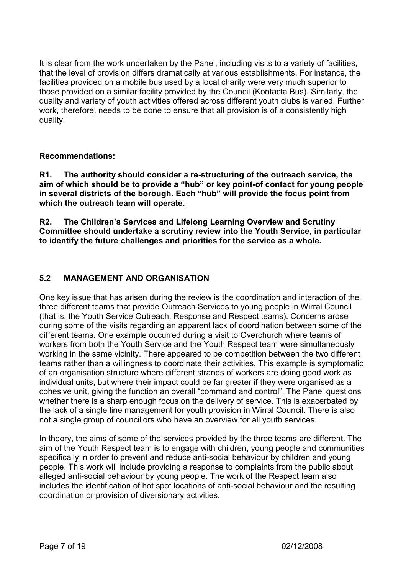It is clear from the work undertaken by the Panel, including visits to a variety of facilities, that the level of provision differs dramatically at various establishments. For instance, the facilities provided on a mobile bus used by a local charity were very much superior to those provided on a similar facility provided by the Council (Kontacta Bus). Similarly, the quality and variety of youth activities offered across different youth clubs is varied. Further work, therefore, needs to be done to ensure that all provision is of a consistently high quality.

#### Recommendations:

R1. The authority should consider a re-structuring of the outreach service, the aim of which should be to provide a "hub" or key point-of contact for young people in several districts of the borough. Each "hub" will provide the focus point from which the outreach team will operate.

R2. The Children's Services and Lifelong Learning Overview and Scrutiny Committee should undertake a scrutiny review into the Youth Service, in particular to identify the future challenges and priorities for the service as a whole.

## 5.2 MANAGEMENT AND ORGANISATION

One key issue that has arisen during the review is the coordination and interaction of the three different teams that provide Outreach Services to young people in Wirral Council (that is, the Youth Service Outreach, Response and Respect teams). Concerns arose during some of the visits regarding an apparent lack of coordination between some of the different teams. One example occurred during a visit to Overchurch where teams of workers from both the Youth Service and the Youth Respect team were simultaneously working in the same vicinity. There appeared to be competition between the two different teams rather than a willingness to coordinate their activities. This example is symptomatic of an organisation structure where different strands of workers are doing good work as individual units, but where their impact could be far greater if they were organised as a cohesive unit, giving the function an overall "command and control". The Panel questions whether there is a sharp enough focus on the delivery of service. This is exacerbated by the lack of a single line management for youth provision in Wirral Council. There is also not a single group of councillors who have an overview for all youth services.

In theory, the aims of some of the services provided by the three teams are different. The aim of the Youth Respect team is to engage with children, young people and communities specifically in order to prevent and reduce anti-social behaviour by children and young people. This work will include providing a response to complaints from the public about alleged anti-social behaviour by young people. The work of the Respect team also includes the identification of hot spot locations of anti-social behaviour and the resulting coordination or provision of diversionary activities.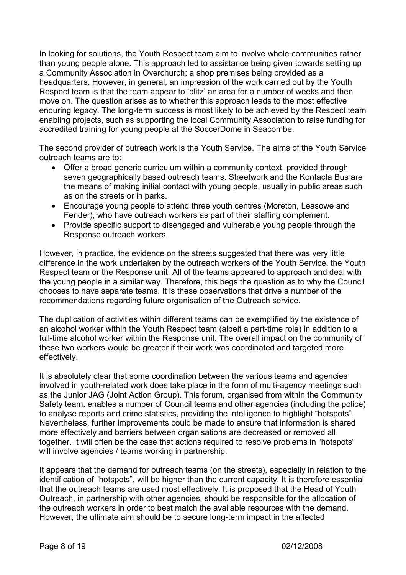In looking for solutions, the Youth Respect team aim to involve whole communities rather than young people alone. This approach led to assistance being given towards setting up a Community Association in Overchurch; a shop premises being provided as a headquarters. However, in general, an impression of the work carried out by the Youth Respect team is that the team appear to 'blitz' an area for a number of weeks and then move on. The question arises as to whether this approach leads to the most effective enduring legacy. The long-term success is most likely to be achieved by the Respect team enabling projects, such as supporting the local Community Association to raise funding for accredited training for young people at the SoccerDome in Seacombe.

The second provider of outreach work is the Youth Service. The aims of the Youth Service outreach teams are to:

- Offer a broad generic curriculum within a community context, provided through seven geographically based outreach teams. Streetwork and the Kontacta Bus are the means of making initial contact with young people, usually in public areas such as on the streets or in parks.
- Encourage young people to attend three youth centres (Moreton, Leasowe and Fender), who have outreach workers as part of their staffing complement.
- Provide specific support to disengaged and vulnerable young people through the Response outreach workers.

However, in practice, the evidence on the streets suggested that there was very little difference in the work undertaken by the outreach workers of the Youth Service, the Youth Respect team or the Response unit. All of the teams appeared to approach and deal with the young people in a similar way. Therefore, this begs the question as to why the Council chooses to have separate teams. It is these observations that drive a number of the recommendations regarding future organisation of the Outreach service.

The duplication of activities within different teams can be exemplified by the existence of an alcohol worker within the Youth Respect team (albeit a part-time role) in addition to a full-time alcohol worker within the Response unit. The overall impact on the community of these two workers would be greater if their work was coordinated and targeted more effectively.

It is absolutely clear that some coordination between the various teams and agencies involved in youth-related work does take place in the form of multi-agency meetings such as the Junior JAG (Joint Action Group). This forum, organised from within the Community Safety team, enables a number of Council teams and other agencies (including the police) to analyse reports and crime statistics, providing the intelligence to highlight "hotspots". Nevertheless, further improvements could be made to ensure that information is shared more effectively and barriers between organisations are decreased or removed all together. It will often be the case that actions required to resolve problems in "hotspots" will involve agencies / teams working in partnership.

It appears that the demand for outreach teams (on the streets), especially in relation to the identification of "hotspots", will be higher than the current capacity. It is therefore essential that the outreach teams are used most effectively. It is proposed that the Head of Youth Outreach, in partnership with other agencies, should be responsible for the allocation of the outreach workers in order to best match the available resources with the demand. However, the ultimate aim should be to secure long-term impact in the affected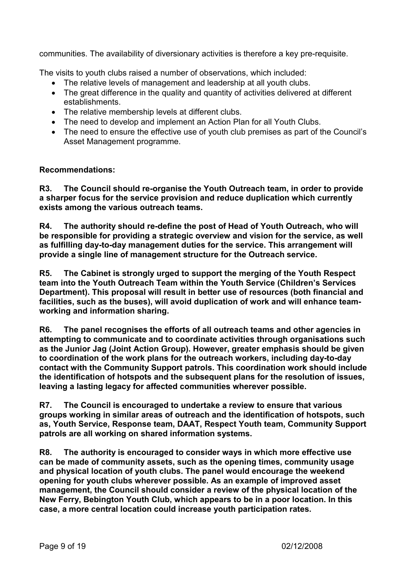communities. The availability of diversionary activities is therefore a key pre-requisite.

The visits to youth clubs raised a number of observations, which included:

- The relative levels of management and leadership at all youth clubs.
- The great difference in the quality and quantity of activities delivered at different establishments.
- The relative membership levels at different clubs.
- The need to develop and implement an Action Plan for all Youth Clubs.
- The need to ensure the effective use of youth club premises as part of the Council's Asset Management programme.

## Recommendations:

R3. The Council should re-organise the Youth Outreach team, in order to provide a sharper focus for the service provision and reduce duplication which currently exists among the various outreach teams.

R4. The authority should re-define the post of Head of Youth Outreach, who will be responsible for providing a strategic overview and vision for the service, as well as fulfilling day-to-day management duties for the service. This arrangement will provide a single line of management structure for the Outreach service.

R5. The Cabinet is strongly urged to support the merging of the Youth Respect team into the Youth Outreach Team within the Youth Service (Children's Services Department). This proposal will result in better use of resources (both financial and facilities, such as the buses), will avoid duplication of work and will enhance teamworking and information sharing.

R6. The panel recognises the efforts of all outreach teams and other agencies in attempting to communicate and to coordinate activities through organisations such as the Junior Jag (Joint Action Group). However, greater emphasis should be given to coordination of the work plans for the outreach workers, including day-to-day contact with the Community Support patrols. This coordination work should include the identification of hotspots and the subsequent plans for the resolution of issues, leaving a lasting legacy for affected communities wherever possible.

R7. The Council is encouraged to undertake a review to ensure that various groups working in similar areas of outreach and the identification of hotspots, such as, Youth Service, Response team, DAAT, Respect Youth team, Community Support patrols are all working on shared information systems.

R8. The authority is encouraged to consider ways in which more effective use can be made of community assets, such as the opening times, community usage and physical location of youth clubs. The panel would encourage the weekend opening for youth clubs wherever possible. As an example of improved asset management, the Council should consider a review of the physical location of the New Ferry, Bebington Youth Club, which appears to be in a poor location. In this case, a more central location could increase youth participation rates.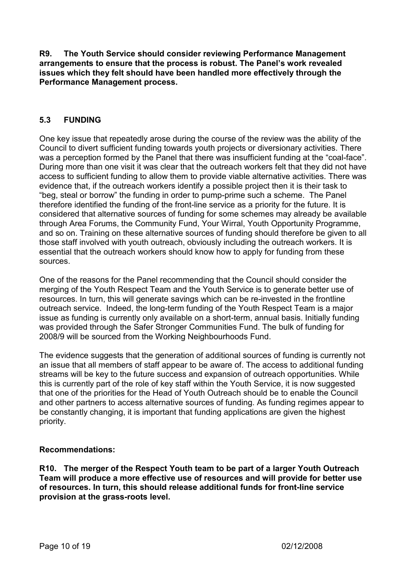R9. The Youth Service should consider reviewing Performance Management arrangements to ensure that the process is robust. The Panel's work revealed issues which they felt should have been handled more effectively through the Performance Management process.

#### 5.3 FUNDING

One key issue that repeatedly arose during the course of the review was the ability of the Council to divert sufficient funding towards youth projects or diversionary activities. There was a perception formed by the Panel that there was insufficient funding at the "coal-face". During more than one visit it was clear that the outreach workers felt that they did not have access to sufficient funding to allow them to provide viable alternative activities. There was evidence that, if the outreach workers identify a possible project then it is their task to "beg, steal or borrow" the funding in order to pump-prime such a scheme. The Panel therefore identified the funding of the front-line service as a priority for the future. It is considered that alternative sources of funding for some schemes may already be available through Area Forums, the Community Fund, Your Wirral, Youth Opportunity Programme, and so on. Training on these alternative sources of funding should therefore be given to all those staff involved with youth outreach, obviously including the outreach workers. It is essential that the outreach workers should know how to apply for funding from these sources.

One of the reasons for the Panel recommending that the Council should consider the merging of the Youth Respect Team and the Youth Service is to generate better use of resources. In turn, this will generate savings which can be re-invested in the frontline outreach service. Indeed, the long-term funding of the Youth Respect Team is a major issue as funding is currently only available on a short-term, annual basis. Initially funding was provided through the Safer Stronger Communities Fund. The bulk of funding for 2008/9 will be sourced from the Working Neighbourhoods Fund.

The evidence suggests that the generation of additional sources of funding is currently not an issue that all members of staff appear to be aware of. The access to additional funding streams will be key to the future success and expansion of outreach opportunities. While this is currently part of the role of key staff within the Youth Service, it is now suggested that one of the priorities for the Head of Youth Outreach should be to enable the Council and other partners to access alternative sources of funding. As funding regimes appear to be constantly changing, it is important that funding applications are given the highest priority.

#### Recommendations:

R10. The merger of the Respect Youth team to be part of a larger Youth Outreach Team will produce a more effective use of resources and will provide for better use of resources. In turn, this should release additional funds for front-line service provision at the grass-roots level.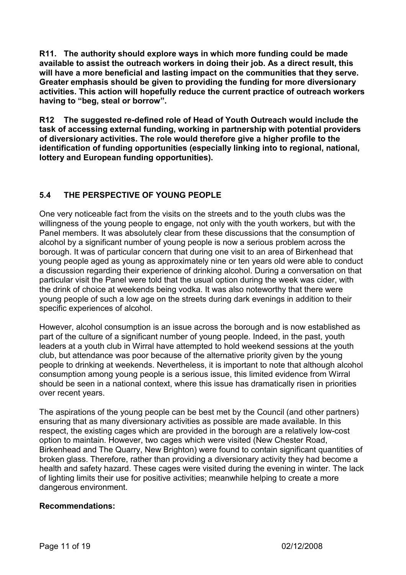R11. The authority should explore ways in which more funding could be made available to assist the outreach workers in doing their job. As a direct result, this will have a more beneficial and lasting impact on the communities that they serve. Greater emphasis should be given to providing the funding for more diversionary activities. This action will hopefully reduce the current practice of outreach workers having to "beg, steal or borrow".

R12 The suggested re-defined role of Head of Youth Outreach would include the task of accessing external funding, working in partnership with potential providers of diversionary activities. The role would therefore give a higher profile to the identification of funding opportunities (especially linking into to regional, national, lottery and European funding opportunities).

# 5.4 THE PERSPECTIVE OF YOUNG PEOPLE

One very noticeable fact from the visits on the streets and to the youth clubs was the willingness of the young people to engage, not only with the youth workers, but with the Panel members. It was absolutely clear from these discussions that the consumption of alcohol by a significant number of young people is now a serious problem across the borough. It was of particular concern that during one visit to an area of Birkenhead that young people aged as young as approximately nine or ten years old were able to conduct a discussion regarding their experience of drinking alcohol. During a conversation on that particular visit the Panel were told that the usual option during the week was cider, with the drink of choice at weekends being vodka. It was also noteworthy that there were young people of such a low age on the streets during dark evenings in addition to their specific experiences of alcohol.

However, alcohol consumption is an issue across the borough and is now established as part of the culture of a significant number of young people. Indeed, in the past, youth leaders at a youth club in Wirral have attempted to hold weekend sessions at the youth club, but attendance was poor because of the alternative priority given by the young people to drinking at weekends. Nevertheless, it is important to note that although alcohol consumption among young people is a serious issue, this limited evidence from Wirral should be seen in a national context, where this issue has dramatically risen in priorities over recent years.

The aspirations of the young people can be best met by the Council (and other partners) ensuring that as many diversionary activities as possible are made available. In this respect, the existing cages which are provided in the borough are a relatively low-cost option to maintain. However, two cages which were visited (New Chester Road, Birkenhead and The Quarry, New Brighton) were found to contain significant quantities of broken glass. Therefore, rather than providing a diversionary activity they had become a health and safety hazard. These cages were visited during the evening in winter. The lack of lighting limits their use for positive activities; meanwhile helping to create a more dangerous environment.

## Recommendations: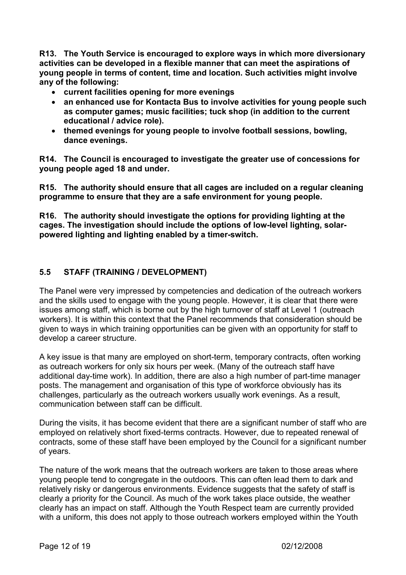R13. The Youth Service is encouraged to explore ways in which more diversionary activities can be developed in a flexible manner that can meet the aspirations of young people in terms of content, time and location. Such activities might involve any of the following:

- current facilities opening for more evenings
- an enhanced use for Kontacta Bus to involve activities for young people such as computer games; music facilities; tuck shop (in addition to the current educational / advice role).
- themed evenings for young people to involve football sessions, bowling, dance evenings.

R14. The Council is encouraged to investigate the greater use of concessions for young people aged 18 and under.

R15. The authority should ensure that all cages are included on a regular cleaning programme to ensure that they are a safe environment for young people.

R16. The authority should investigate the options for providing lighting at the cages. The investigation should include the options of low-level lighting, solarpowered lighting and lighting enabled by a timer-switch.

## 5.5 STAFF (TRAINING / DEVELOPMENT)

The Panel were very impressed by competencies and dedication of the outreach workers and the skills used to engage with the young people. However, it is clear that there were issues among staff, which is borne out by the high turnover of staff at Level 1 (outreach workers). It is within this context that the Panel recommends that consideration should be given to ways in which training opportunities can be given with an opportunity for staff to develop a career structure.

A key issue is that many are employed on short-term, temporary contracts, often working as outreach workers for only six hours per week. (Many of the outreach staff have additional day-time work). In addition, there are also a high number of part-time manager posts. The management and organisation of this type of workforce obviously has its challenges, particularly as the outreach workers usually work evenings. As a result, communication between staff can be difficult.

During the visits, it has become evident that there are a significant number of staff who are employed on relatively short fixed-terms contracts. However, due to repeated renewal of contracts, some of these staff have been employed by the Council for a significant number of years.

The nature of the work means that the outreach workers are taken to those areas where young people tend to congregate in the outdoors. This can often lead them to dark and relatively risky or dangerous environments. Evidence suggests that the safety of staff is clearly a priority for the Council. As much of the work takes place outside, the weather clearly has an impact on staff. Although the Youth Respect team are currently provided with a uniform, this does not apply to those outreach workers employed within the Youth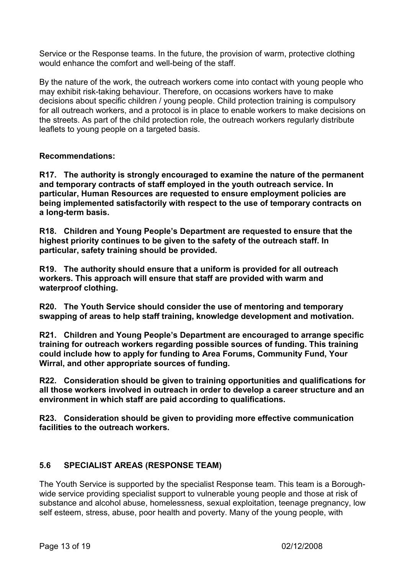Service or the Response teams. In the future, the provision of warm, protective clothing would enhance the comfort and well-being of the staff.

By the nature of the work, the outreach workers come into contact with young people who may exhibit risk-taking behaviour. Therefore, on occasions workers have to make decisions about specific children / young people. Child protection training is compulsory for all outreach workers, and a protocol is in place to enable workers to make decisions on the streets. As part of the child protection role, the outreach workers regularly distribute leaflets to young people on a targeted basis.

#### Recommendations:

R17. The authority is strongly encouraged to examine the nature of the permanent and temporary contracts of staff employed in the youth outreach service. In particular, Human Resources are requested to ensure employment policies are being implemented satisfactorily with respect to the use of temporary contracts on a long-term basis.

R18. Children and Young People's Department are requested to ensure that the highest priority continues to be given to the safety of the outreach staff. In particular, safety training should be provided.

R19. The authority should ensure that a uniform is provided for all outreach workers. This approach will ensure that staff are provided with warm and waterproof clothing.

R20. The Youth Service should consider the use of mentoring and temporary swapping of areas to help staff training, knowledge development and motivation.

R21. Children and Young People's Department are encouraged to arrange specific training for outreach workers regarding possible sources of funding. This training could include how to apply for funding to Area Forums, Community Fund, Your Wirral, and other appropriate sources of funding.

R22. Consideration should be given to training opportunities and qualifications for all those workers involved in outreach in order to develop a career structure and an environment in which staff are paid according to qualifications.

R23. Consideration should be given to providing more effective communication facilities to the outreach workers.

#### 5.6 SPECIALIST AREAS (RESPONSE TEAM)

The Youth Service is supported by the specialist Response team. This team is a Boroughwide service providing specialist support to vulnerable young people and those at risk of substance and alcohol abuse, homelessness, sexual exploitation, teenage pregnancy, low self esteem, stress, abuse, poor health and poverty. Many of the young people, with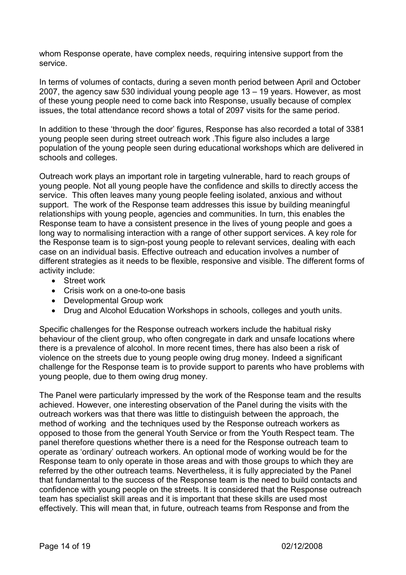whom Response operate, have complex needs, requiring intensive support from the service.

In terms of volumes of contacts, during a seven month period between April and October 2007, the agency saw 530 individual young people age 13 – 19 years. However, as most of these young people need to come back into Response, usually because of complex issues, the total attendance record shows a total of 2097 visits for the same period.

In addition to these 'through the door' figures, Response has also recorded a total of 3381 young people seen during street outreach work .This figure also includes a large population of the young people seen during educational workshops which are delivered in schools and colleges.

Outreach work plays an important role in targeting vulnerable, hard to reach groups of young people. Not all young people have the confidence and skills to directly access the service. This often leaves many young people feeling isolated, anxious and without support. The work of the Response team addresses this issue by building meaningful relationships with young people, agencies and communities. In turn, this enables the Response team to have a consistent presence in the lives of young people and goes a long way to normalising interaction with a range of other support services. A key role for the Response team is to sign-post young people to relevant services, dealing with each case on an individual basis. Effective outreach and education involves a number of different strategies as it needs to be flexible, responsive and visible. The different forms of activity include:

- Street work
- Crisis work on a one-to-one basis
- Developmental Group work
- Drug and Alcohol Education Workshops in schools, colleges and youth units.

Specific challenges for the Response outreach workers include the habitual risky behaviour of the client group, who often congregate in dark and unsafe locations where there is a prevalence of alcohol. In more recent times, there has also been a risk of violence on the streets due to young people owing drug money. Indeed a significant challenge for the Response team is to provide support to parents who have problems with young people, due to them owing drug money.

The Panel were particularly impressed by the work of the Response team and the results achieved. However, one interesting observation of the Panel during the visits with the outreach workers was that there was little to distinguish between the approach, the method of working and the techniques used by the Response outreach workers as opposed to those from the general Youth Service or from the Youth Respect team. The panel therefore questions whether there is a need for the Response outreach team to operate as 'ordinary' outreach workers. An optional mode of working would be for the Response team to only operate in those areas and with those groups to which they are referred by the other outreach teams. Nevertheless, it is fully appreciated by the Panel that fundamental to the success of the Response team is the need to build contacts and confidence with young people on the streets. It is considered that the Response outreach team has specialist skill areas and it is important that these skills are used most effectively. This will mean that, in future, outreach teams from Response and from the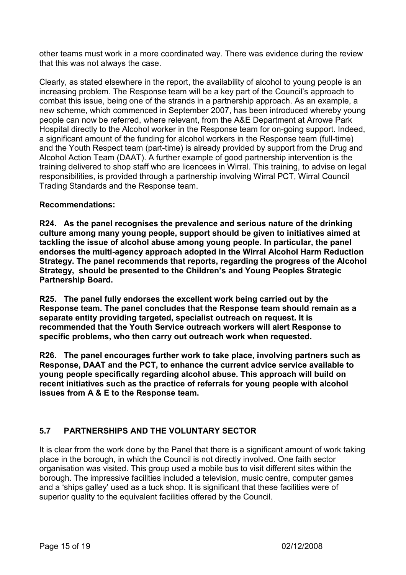other teams must work in a more coordinated way. There was evidence during the review that this was not always the case.

Clearly, as stated elsewhere in the report, the availability of alcohol to young people is an increasing problem. The Response team will be a key part of the Council's approach to combat this issue, being one of the strands in a partnership approach. As an example, a new scheme, which commenced in September 2007, has been introduced whereby young people can now be referred, where relevant, from the A&E Department at Arrowe Park Hospital directly to the Alcohol worker in the Response team for on-going support. Indeed, a significant amount of the funding for alcohol workers in the Response team (full-time) and the Youth Respect team (part-time) is already provided by support from the Drug and Alcohol Action Team (DAAT). A further example of good partnership intervention is the training delivered to shop staff who are licencees in Wirral. This training, to advise on legal responsibilities, is provided through a partnership involving Wirral PCT, Wirral Council Trading Standards and the Response team.

#### Recommendations:

R24. As the panel recognises the prevalence and serious nature of the drinking culture among many young people, support should be given to initiatives aimed at tackling the issue of alcohol abuse among young people. In particular, the panel endorses the multi-agency approach adopted in the Wirral Alcohol Harm Reduction Strategy. The panel recommends that reports, regarding the progress of the Alcohol Strategy, should be presented to the Children's and Young Peoples Strategic Partnership Board.

R25. The panel fully endorses the excellent work being carried out by the Response team. The panel concludes that the Response team should remain as a separate entity providing targeted, specialist outreach on request. It is recommended that the Youth Service outreach workers will alert Response to specific problems, who then carry out outreach work when requested.

R26. The panel encourages further work to take place, involving partners such as Response, DAAT and the PCT, to enhance the current advice service available to young people specifically regarding alcohol abuse. This approach will build on recent initiatives such as the practice of referrals for young people with alcohol issues from A & E to the Response team.

## 5.7 PARTNERSHIPS AND THE VOLUNTARY SECTOR

It is clear from the work done by the Panel that there is a significant amount of work taking place in the borough, in which the Council is not directly involved. One faith sector organisation was visited. This group used a mobile bus to visit different sites within the borough. The impressive facilities included a television, music centre, computer games and a 'ships galley' used as a tuck shop. It is significant that these facilities were of superior quality to the equivalent facilities offered by the Council.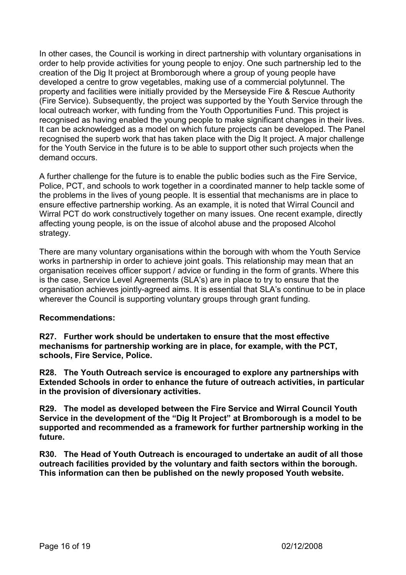In other cases, the Council is working in direct partnership with voluntary organisations in order to help provide activities for young people to enjoy. One such partnership led to the creation of the Dig It project at Bromborough where a group of young people have developed a centre to grow vegetables, making use of a commercial polytunnel. The property and facilities were initially provided by the Merseyside Fire & Rescue Authority (Fire Service). Subsequently, the project was supported by the Youth Service through the local outreach worker, with funding from the Youth Opportunities Fund. This project is recognised as having enabled the young people to make significant changes in their lives. It can be acknowledged as a model on which future projects can be developed. The Panel recognised the superb work that has taken place with the Dig It project. A major challenge for the Youth Service in the future is to be able to support other such projects when the demand occurs.

A further challenge for the future is to enable the public bodies such as the Fire Service, Police, PCT, and schools to work together in a coordinated manner to help tackle some of the problems in the lives of young people. It is essential that mechanisms are in place to ensure effective partnership working. As an example, it is noted that Wirral Council and Wirral PCT do work constructively together on many issues. One recent example, directly affecting young people, is on the issue of alcohol abuse and the proposed Alcohol strategy.

There are many voluntary organisations within the borough with whom the Youth Service works in partnership in order to achieve joint goals. This relationship may mean that an organisation receives officer support / advice or funding in the form of grants. Where this is the case, Service Level Agreements (SLA's) are in place to try to ensure that the organisation achieves jointly-agreed aims. It is essential that SLA's continue to be in place wherever the Council is supporting voluntary groups through grant funding.

#### Recommendations:

R27. Further work should be undertaken to ensure that the most effective mechanisms for partnership working are in place, for example, with the PCT, schools, Fire Service, Police.

R28. The Youth Outreach service is encouraged to explore any partnerships with Extended Schools in order to enhance the future of outreach activities, in particular in the provision of diversionary activities.

R29. The model as developed between the Fire Service and Wirral Council Youth Service in the development of the "Dig It Project" at Bromborough is a model to be supported and recommended as a framework for further partnership working in the future.

R30. The Head of Youth Outreach is encouraged to undertake an audit of all those outreach facilities provided by the voluntary and faith sectors within the borough. This information can then be published on the newly proposed Youth website.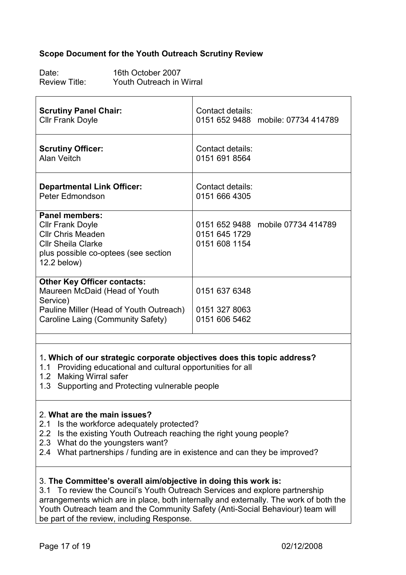#### Scope Document for the Youth Outreach Scrutiny Review

Date: 16th October 2007<br>
Review Title: Youth Outreach in Youth Outreach in Wirral

| <b>Scrutiny Panel Chair:</b>                                                                                                                                     | Contact details:                                                    |
|------------------------------------------------------------------------------------------------------------------------------------------------------------------|---------------------------------------------------------------------|
| <b>Cllr Frank Doyle</b>                                                                                                                                          | 0151 652 9488 mobile: 07734 414789                                  |
| <b>Scrutiny Officer:</b>                                                                                                                                         | Contact details:                                                    |
| Alan Veitch                                                                                                                                                      | 0151 691 8564                                                       |
| <b>Departmental Link Officer:</b>                                                                                                                                | Contact details:                                                    |
| Peter Edmondson                                                                                                                                                  | 0151 666 4305                                                       |
| <b>Panel members:</b><br><b>Cllr Frank Doyle</b><br><b>Cllr Chris Meaden</b><br><b>Cllr Sheila Clarke</b><br>plus possible co-optees (see section<br>12.2 below) | 0151 652 9488 mobile 07734 414789<br>0151 645 1729<br>0151 608 1154 |
| <b>Other Key Officer contacts:</b><br>Maureen McDaid (Head of Youth<br>Service)<br>Pauline Miller (Head of Youth Outreach)<br>Caroline Laing (Community Safety)  | 0151 637 6348<br>0151 327 8063<br>0151 606 5462                     |

#### 1. Which of our strategic corporate objectives does this topic address?

- 1.1 Providing educational and cultural opportunities for all
- 1.2 Making Wirral safer
- 1.3 Supporting and Protecting vulnerable people

#### 2. What are the main issues?

- 2.1 Is the workforce adequately protected?
- 2.2 Is the existing Youth Outreach reaching the right young people?
- 2.3 What do the youngsters want?
- 2.4 What partnerships / funding are in existence and can they be improved?

#### 3. The Committee's overall aim/objective in doing this work is:

3.1 To review the Council's Youth Outreach Services and explore partnership arrangements which are in place, both internally and externally. The work of both the Youth Outreach team and the Community Safety (Anti-Social Behaviour) team will be part of the review, including Response.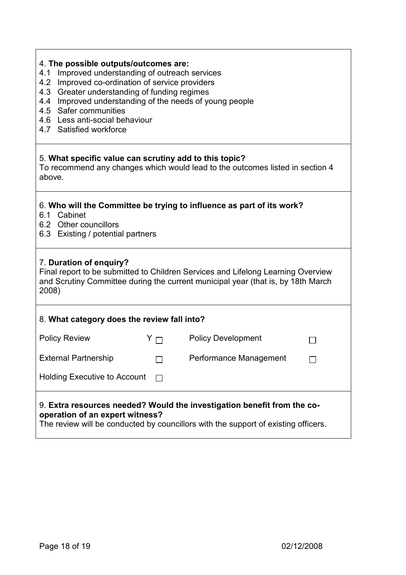| 4. The possible outputs/outcomes are:<br>Improved understanding of outreach services<br>4.1<br>Improved co-ordination of service providers<br>4.2<br>4.3 Greater understanding of funding regimes<br>4.4 Improved understanding of the needs of young people<br>4.5 Safer communities<br>4.6 Less anti-social behaviour<br>4.7 Satisfied workforce |            |                           |  |  |
|----------------------------------------------------------------------------------------------------------------------------------------------------------------------------------------------------------------------------------------------------------------------------------------------------------------------------------------------------|------------|---------------------------|--|--|
| 5. What specific value can scrutiny add to this topic?<br>To recommend any changes which would lead to the outcomes listed in section 4<br>above.                                                                                                                                                                                                  |            |                           |  |  |
| 6. Who will the Committee be trying to influence as part of its work?<br>6.1 Cabinet<br>6.2 Other councillors<br>6.3 Existing / potential partners                                                                                                                                                                                                 |            |                           |  |  |
| 7. Duration of enquiry?<br>Final report to be submitted to Children Services and Lifelong Learning Overview<br>and Scrutiny Committee during the current municipal year (that is, by 18th March<br>2008)                                                                                                                                           |            |                           |  |  |
| 8. What category does the review fall into?                                                                                                                                                                                                                                                                                                        |            |                           |  |  |
| <b>Policy Review</b>                                                                                                                                                                                                                                                                                                                               | $Y \sqcap$ | <b>Policy Development</b> |  |  |
| <b>External Partnership</b>                                                                                                                                                                                                                                                                                                                        |            | Performance Management    |  |  |
| <b>Holding Executive to Account</b>                                                                                                                                                                                                                                                                                                                |            |                           |  |  |
| 9. Extra resources needed? Would the investigation benefit from the co-<br>operation of an expert witness?<br>The review will be conducted by councillors with the support of existing officers.                                                                                                                                                   |            |                           |  |  |